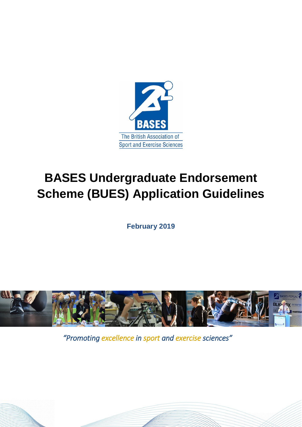

# **BASES Undergraduate Endorsement Scheme (BUES) Application Guidelines**

**February 2019**



*"Promoting excellence in sport and exercise sciences"*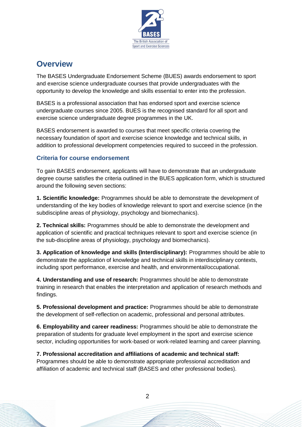

# **Overview**

The BASES Undergraduate Endorsement Scheme (BUES) awards endorsement to sport and exercise science undergraduate courses that provide undergraduates with the opportunity to develop the knowledge and skills essential to enter into the profession.

BASES is a professional association that has endorsed sport and exercise science undergraduate courses since 2005. BUES is the recognised standard for all sport and exercise science undergraduate degree programmes in the UK.

BASES endorsement is awarded to courses that meet specific criteria covering the necessary foundation of sport and exercise science knowledge and technical skills, in addition to professional development competencies required to succeed in the profession.

### **Criteria for course endorsement**

To gain BASES endorsement, applicants will have to demonstrate that an undergraduate degree course satisfies the criteria outlined in the BUES application form, which is structured around the following seven sections:

**1. Scientific knowledge:** Programmes should be able to demonstrate the development of understanding of the key bodies of knowledge relevant to sport and exercise science (in the subdiscipline areas of physiology, psychology and biomechanics).

**2. Technical skills:** Programmes should be able to demonstrate the development and application of scientific and practical techniques relevant to sport and exercise science (in the sub-discipline areas of physiology, psychology and biomechanics).

**3. Application of knowledge and skills (Interdisciplinary):** Programmes should be able to demonstrate the application of knowledge and technical skills in interdisciplinary contexts, including sport performance, exercise and health, and environmental/occupational.

**4. Understanding and use of research:** Programmes should be able to demonstrate training in research that enables the interpretation and application of research methods and findings.

**5. Professional development and practice:** Programmes should be able to demonstrate the development of self-reflection on academic, professional and personal attributes.

**6. Employability and career readiness:** Programmes should be able to demonstrate the preparation of students for graduate level employment in the sport and exercise science sector, including opportunities for work-based or work-related learning and career planning.

**7. Professional accreditation and affiliations of academic and technical staff:** Programmes should be able to demonstrate appropriate professional accreditation and affiliation of academic and technical staff (BASES and other professional bodies).

2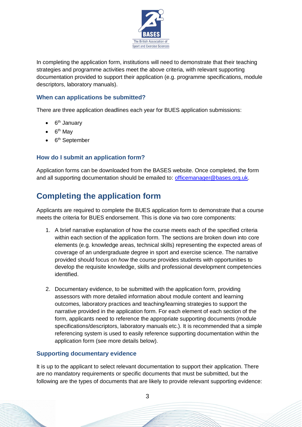

In completing the application form, institutions will need to demonstrate that their teaching strategies and programme activities meet the above criteria, with relevant supporting documentation provided to support their application (e.g. programme specifications, module descriptors, laboratory manuals).

### **When can applications be submitted?**

There are three application deadlines each year for BUES application submissions:

- 6<sup>th</sup> January
- $\bullet$  6<sup>th</sup> May
- 6<sup>th</sup> September

### **How do I submit an application form?**

Application forms can be downloaded from the BASES website. Once completed, the form and all supporting documentation should be emailed to: [officemanager@bases.org.uk.](mailto:officemanager@bases.org.uk)

# **Completing the application form**

Applicants are required to complete the BUES application form to demonstrate that a course meets the criteria for BUES endorsement. This is done via two core components:

- 1. A brief narrative explanation of how the course meets each of the specified criteria within each section of the application form. The sections are broken down into core elements (e.g. knowledge areas, technical skills) representing the expected areas of coverage of an undergraduate degree in sport and exercise science. The narrative provided should focus on *how* the course provides students with opportunities to develop the requisite knowledge, skills and professional development competencies identified.
- 2. Documentary evidence, to be submitted with the application form, providing assessors with more detailed information about module content and learning outcomes, laboratory practices and teaching/learning strategies to support the narrative provided in the application form. For each element of each section of the form, applicants need to reference the appropriate supporting documents (module specifications/descriptors, laboratory manuals etc.). It is recommended that a simple referencing system is used to easily reference supporting documentation within the application form (see more details below).

#### **Supporting documentary evidence**

It is up to the applicant to select relevant documentation to support their application. There are no mandatory requirements or specific documents that must be submitted, but the following are the types of documents that are likely to provide relevant supporting evidence:

3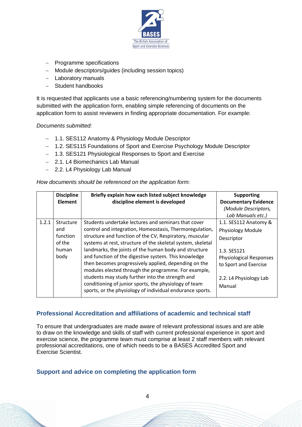

- − Programme specifications
- − Module descriptors/guides (including session topics)
- − Laboratory manuals
- − Student handbooks

It is requested that applicants use a basic referencing/numbering system for the documents submitted with the application form, enabling simple referencing of documents on the application form to assist reviewers in finding appropriate documentation. For example:

#### *Documents submitted:*

- − 1.1. SES112 Anatomy & Physiology Module Descriptor
- − 1.2. SES115 Foundations of Sport and Exercise Psychology Module Descriptor
- − 1.3. SES121 Physiological Responses to Sport and Exercise
- − 2.1. L4 Biomechanics Lab Manual
- − 2.2. L4 Physiology Lab Manual

#### *How documents should be referenced on the application form:*

|       | <b>Discipline</b><br><b>Element</b>                     | Briefly explain how each listed subject knowledge<br>discipline element is developed                                                                                                                                                                                                                                                                                                                                                                                                                                                                                                                                                               | <b>Supporting</b><br><b>Documentary Evidence</b><br>(Module Descriptors,                                                                                                                    |
|-------|---------------------------------------------------------|----------------------------------------------------------------------------------------------------------------------------------------------------------------------------------------------------------------------------------------------------------------------------------------------------------------------------------------------------------------------------------------------------------------------------------------------------------------------------------------------------------------------------------------------------------------------------------------------------------------------------------------------------|---------------------------------------------------------------------------------------------------------------------------------------------------------------------------------------------|
| 1.2.1 | Structure<br>and<br>function<br>of the<br>human<br>body | Students undertake lectures and seminars that cover<br>control and integration, Homeostasis, Thermoregulation,<br>structure and function of the CV, Respiratory, muscular<br>systems at rest, structure of the skeletal system, skeletal<br>landmarks, the joints of the human body and structure<br>and function of the digestive system. This knowledge<br>then becomes progressively applied, depending on the<br>modules elected through the programme. For example,<br>students may study further into the strength and<br>conditioning of junior sports, the physiology of team<br>sports, or the physiology of individual endurance sports. | Lab Manuals etc.)<br>1.1. SES112 Anatomy &<br>Physiology Module<br>Descriptor<br>1.3. SES121<br><b>Physiological Responses</b><br>to Sport and Exercise<br>2.2. L4 Physiology Lab<br>Manual |

### **Professional Accreditation and affiliations of academic and technical staff**

To ensure that undergraduates are made aware of relevant professional issues and are able to draw on the knowledge and skills of staff with current professional experience in sport and exercise science, the programme team must comprise at least 2 staff members with relevant professional accreditations, one of which needs to be a BASES Accredited Sport and Exercise Scientist.

#### **Support and advice on completing the application form**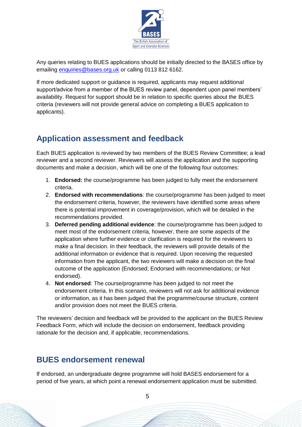

Any queries relating to BUES applications should be initially directed to the BASES office by emailing [enquiries@bases.org.uk](mailto:enquiries@bases.org.uk) or calling 0113 812 6162.

If more dedicated support or guidance is required, applicants may request additional support/advice from a member of the BUES review panel, dependent upon panel members' availability. Request for support should be in relation to specific queries about the BUES criteria (reviewers will not provide general advice on completing a BUES application to applicants).

# **Application assessment and feedback**

Each BUES application is reviewed by two members of the BUES Review Committee; a lead reviewer and a second reviewer. Reviewers will assess the application and the supporting documents and make a decision, which will be one of the following four outcomes:

- 1. **Endorsed:** the course/programme has been judged to fully meet the endorsement criteria.
- 2. **Endorsed with recommendations**: the course/programme has been judged to meet the endorsement criteria, however, the reviewers have identified some areas where there is potential improvement in coverage/provision, which will be detailed in the recommendations provided.
- 3. **Deferred pending additional evidence**: the course/programme has been judged to meet most of the endorsement criteria, however, there are some aspects of the application where further evidence or clarification is required for the reviewers to make a final decision. In their feedback, the reviewers will provide details of the additional information or evidence that is required. Upon receiving the requested information from the applicant, the two reviewers will make a decision on the final outcome of the application (Endorsed; Endorsed with recommendations; or Not endorsed).
- 4. **Not endorsed**: The course/programme has been judged to not meet the endorsement criteria. In this scenario, reviewers will not ask for additional evidence or information, as it has been judged that the programme/course structure, content and/or provision does not meet the BUES criteria.

The reviewers' decision and feedback will be provided to the applicant on the BUES Review Feedback Form, which will include the decision on endorsement, feedback providing rationale for the decision and, if applicable, recommendations.

### **BUES endorsement renewal**

If endorsed, an undergraduate degree programme will hold BASES endorsement for a period of five years, at which point a renewal endorsement application must be submitted.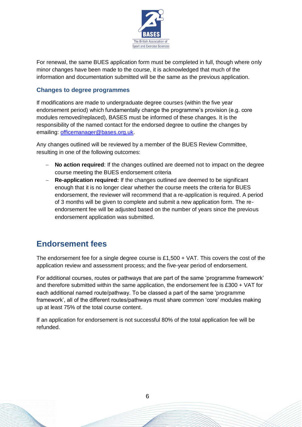

For renewal, the same BUES application form must be completed in full, though where only minor changes have been made to the course, it is acknowledged that much of the information and documentation submitted will be the same as the previous application.

#### **Changes to degree programmes**

If modifications are made to undergraduate degree courses (within the five year endorsement period) which fundamentally change the programme's provision (e.g. core modules removed/replaced), BASES must be informed of these changes. It is the responsibility of the named contact for the endorsed degree to outline the changes by emailing: [officemanager@bases.org.uk.](mailto:officemanager@bases.org.uk)

Any changes outlined will be reviewed by a member of the BUES Review Committee, resulting in one of the following outcomes:

- − **No action required**: If the changes outlined are deemed not to impact on the degree course meeting the BUES endorsement criteria
- − **Re-application required:** If the changes outlined are deemed to be significant enough that it is no longer clear whether the course meets the criteria for BUES endorsement, the reviewer will recommend that a re-application is required. A period of 3 months will be given to complete and submit a new application form. The reendorsement fee will be adjusted based on the number of years since the previous endorsement application was submitted.

### **Endorsement fees**

The endorsement fee for a single degree course is  $£1,500 + \sqrt{AT}$ . This covers the cost of the application review and assessment process; and the five-year period of endorsement.

For additional courses, routes or pathways that are part of the same 'programme framework' and therefore submitted within the same application, the endorsement fee is £300 + VAT for each additional named route/pathway. To be classed a part of the same 'programme framework', all of the different routes/pathways must share common 'core' modules making up at least 75% of the total course content.

If an application for endorsement is not successful 80% of the total application fee will be refunded.

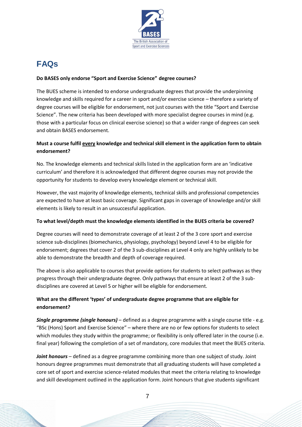

# **FAQs**

#### **Do BASES only endorse "Sport and Exercise Science" degree courses?**

The BUES scheme is intended to endorse undergraduate degrees that provide the underpinning knowledge and skills required for a career in sport and/or exercise science – therefore a variety of degree courses will be eligible for endorsement, not just courses with the title "Sport and Exercise Science". The new criteria has been developed with more specialist degree courses in mind (e.g. those with a particular focus on clinical exercise science) so that a wider range of degrees can seek and obtain BASES endorsement.

### **Must a course fulfil every knowledge and technical skill element in the application form to obtain endorsement?**

No. The knowledge elements and technical skills listed in the application form are an 'indicative curriculum' and therefore it is acknowledged that different degree courses may not provide the opportunity for students to develop every knowledge element or technical skill.

However, the vast majority of knowledge elements, technical skills and professional competencies are expected to have at least basic coverage. Significant gaps in coverage of knowledge and/or skill elements is likely to result in an unsuccessful application.

#### **To what level/depth must the knowledge elements identified in the BUES criteria be covered?**

Degree courses will need to demonstrate coverage of at least 2 of the 3 core sport and exercise science sub-disciplines (biomechanics, physiology, psychology) beyond Level 4 to be eligible for endorsement; degrees that cover 2 of the 3 sub-disciplines at Level 4 only are highly unlikely to be able to demonstrate the breadth and depth of coverage required.

The above is also applicable to courses that provide options for students to select pathways as they progress through their undergraduate degree. Only pathways that ensure at least 2 of the 3 subdisciplines are covered at Level 5 or higher will be eligible for endorsement.

### **What are the different 'types' of undergraduate degree programme that are eligible for endorsement?**

*Single programme (single honours)* – defined as a degree programme with a single course title - e.g. "BSc (Hons) Sport and Exercise Science" – where there are no or few options for students to select which modules they study within the programme; or flexibility is only offered later in the course (i.e. final year) following the completion of a set of mandatory, core modules that meet the BUES criteria.

*Joint honours –* defined as a degree programme combining more than one subject of study. Joint honours degree programmes must demonstrate that all graduating students will have completed a core set of sport and exercise science-related modules that meet the criteria relating to knowledge and skill development outlined in the application form. Joint honours that give students significant

7